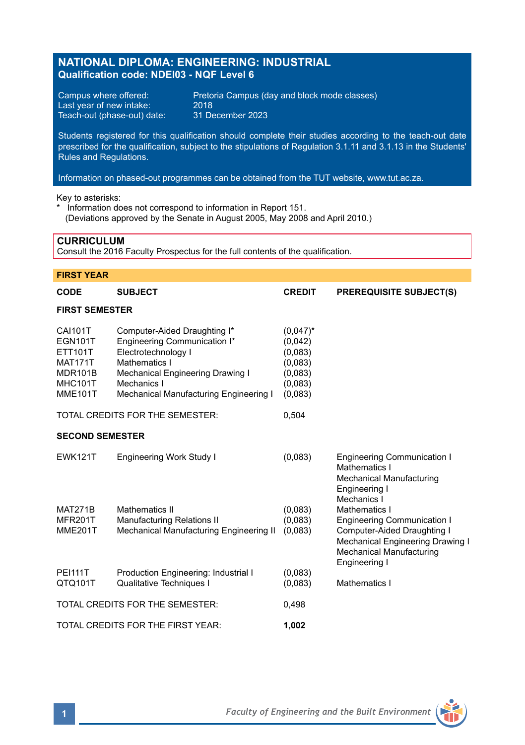## **NATIONAL DIPLOMA: ENGINEERING: INDUSTRIAL Qualification code: NDEI03 - NQF Level 6**

Last year of new intake: 2018<br>Teach-out (phase-out) date: 31 December 2023 Teach-out (phase-out) date:

Campus where offered: Pretoria Campus (day and block mode classes)<br>Last vear of new intake: 2018

Students registered for this qualification should complete their studies according to the teach-out date prescribed for the qualification, subject to the stipulations of Regulation 3.1.11 and 3.1.13 in the Students' Rules and Regulations.

Information on phased-out programmes can be obtained from the TUT website, www.tut.ac.za.

Key to asterisks:

Information does not correspond to information in Report 151. (Deviations approved by the Senate in August 2005, May 2008 and April 2010.)

### **CURRICULUM**

Consult the 2016 Faculty Prospectus for the full contents of the qualification.

# **FIRST YEAR CODE SUBJECT CREDIT PREREQUISITE SUBJECT(S) FIRST SEMESTER** CAI101T Computer-Aided Draughting I\* (0,047)\*<br>
EGN101T Engineering Communication I\* (0.042) EGN101T Engineering Communication I\* (0,042)<br>ETT101T Electrotechnology | (0,083) ETT101T Electrotechnology I (0,083)<br>MAT171T Mathematics I (0.083) MAT171T Mathematics I<br>MDR101B Mechanical Engineering Drawing I (0,083) MDR101B Mechanical Engineering Drawing I (0,083)<br>MHC101T Mechanics I (0.083) MHC101T Mechanics I<br>MMF101T Mechanical Mechanical Manufacturing Engineering I (0,083) TOTAL CREDITS FOR THE SEMESTER: 0,504 **SECOND SEMESTER** EWK121T Engineering Work Study I (0,083) Engineering Communication I Mathematics I Mechanical Manufacturing Engineering I Mechanics I MAT271B Mathematics II (0,083) Mathematics I<br>MFR201T Manufacturing Relations II (0.083) Engineering C MFR201T Manufacturing Relations II (0,083) Engineering Communication I Mechanical Manufacturing Engineering II (0,083) Mechanical Engineering Drawing I Mechanical Manufacturing Engineering I PEI111T Production Engineering: Industrial I (0,083)<br>QTQ101T Qualitative Techniques I Qualitative Techniques I (0.083) Mathematics I TOTAL CREDITS FOR THE SEMESTER: 0,498 TOTAL CREDITS FOR THE FIRST YEAR: **1,002**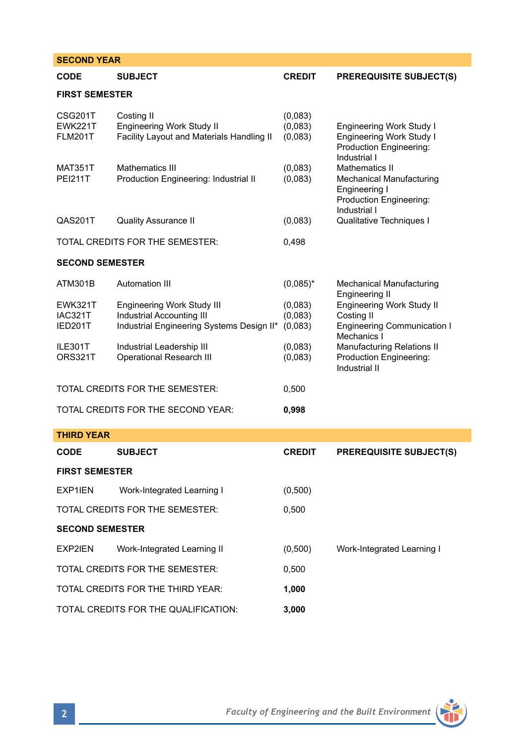# **SECOND YEAR CODE SUBJECT CREDIT PREREQUISITE SUBJECT(S)**

## **FIRST SEMESTER**

| CSG201T<br><b>EWK221T</b><br><b>FLM201T</b> | Costing II<br>Engineering Work Study II<br>Facility Layout and Materials Handling II                 | (0,083)<br>(0,083)<br>(0,083) | Engineering Work Study I<br><b>Engineering Work Study I</b><br>Production Engineering:                                        |
|---------------------------------------------|------------------------------------------------------------------------------------------------------|-------------------------------|-------------------------------------------------------------------------------------------------------------------------------|
| <b>MAT351T</b><br><b>PEI211T</b>            | Mathematics III<br>Production Engineering: Industrial II                                             | (0,083)<br>(0,083)            | Industrial I<br><b>Mathematics II</b><br>Mechanical Manufacturing<br>Engineering I<br>Production Engineering:<br>Industrial I |
| QAS201T                                     | <b>Quality Assurance II</b>                                                                          | (0,083)                       | Qualitative Techniques I                                                                                                      |
| TOTAL CREDITS FOR THE SEMESTER:             |                                                                                                      | 0,498                         |                                                                                                                               |
| <b>SECOND SEMESTER</b>                      |                                                                                                      |                               |                                                                                                                               |
| ATM301B                                     | Automation III                                                                                       | $(0.085)^*$                   | Mechanical Manufacturing                                                                                                      |
| <b>EWK321T</b><br><b>IAC321T</b><br>IED201T | Engineering Work Study III<br>Industrial Accounting III<br>Industrial Engineering Systems Design II* | (0,083)<br>(0,083)<br>(0,083) | <b>Engineering II</b><br><b>Engineering Work Study II</b><br>Costing II<br><b>Engineering Communication I</b>                 |
| ILE301T<br>ORS321T                          | Industrial Leadership III<br><b>Operational Research III</b>                                         | (0,083)<br>(0,083)            | Mechanics I<br><b>Manufacturing Relations II</b><br>Production Engineering:<br>Industrial II                                  |
| TOTAL CREDITS FOR THE SEMESTER:             |                                                                                                      | 0.500                         |                                                                                                                               |
| TOTAL CREDITS FOR THE SECOND YEAR:          |                                                                                                      | 0,998                         |                                                                                                                               |

**THIRD YEAR**

| $\blacksquare$                       |                                 |               |                                |  |  |
|--------------------------------------|---------------------------------|---------------|--------------------------------|--|--|
| <b>CODE</b>                          | <b>SUBJECT</b>                  | <b>CREDIT</b> | <b>PREREQUISITE SUBJECT(S)</b> |  |  |
| <b>FIRST SEMESTER</b>                |                                 |               |                                |  |  |
| EXP1IEN                              | Work-Integrated Learning I      | (0,500)       |                                |  |  |
|                                      | TOTAL CREDITS FOR THE SEMESTER: | 0.500         |                                |  |  |
| <b>SECOND SEMESTER</b>               |                                 |               |                                |  |  |
| EXP2IEN                              | Work-Integrated Learning II     | (0,500)       | Work-Integrated Learning I     |  |  |
| TOTAL CREDITS FOR THE SEMESTER:      |                                 | 0.500         |                                |  |  |
| TOTAL CREDITS FOR THE THIRD YEAR:    |                                 | 1.000         |                                |  |  |
| TOTAL CREDITS FOR THE QUALIFICATION: |                                 | 3.000         |                                |  |  |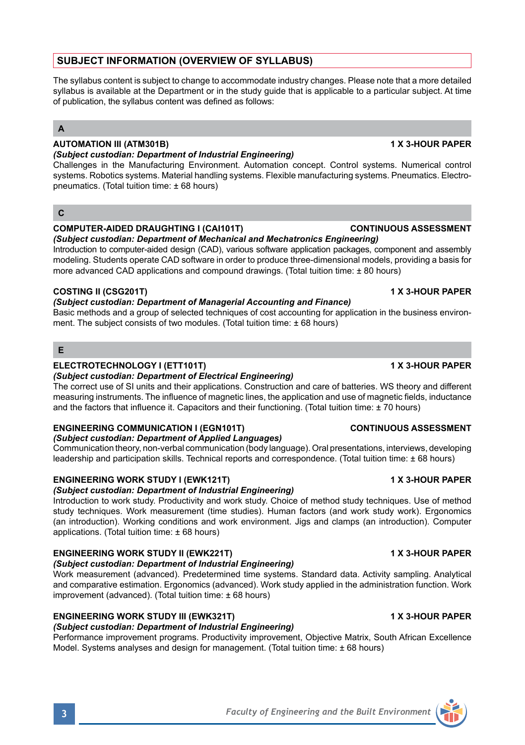# **SUBJECT INFORMATION (OVERVIEW OF SYLLABUS)**

The syllabus content is subject to change to accommodate industry changes. Please note that a more detailed syllabus is available at the Department or in the study guide that is applicable to a particular subject. At time of publication, the syllabus content was defined as follows:

## **A**

#### **AUTOMATION III (ATM301B) 1 X 3-HOUR PAPER** *(Subject custodian: Department of Industrial Engineering)*

Challenges in the Manufacturing Environment. Automation concept. Control systems. Numerical control systems. Robotics systems. Material handling systems. Flexible manufacturing systems. Pneumatics. Electropneumatics. (Total tuition time: ± 68 hours)

## **C**

## **COMPUTER-AIDED DRAUGHTING I (CAI101T) CONTINUOUS ASSESSMENT**

*(Subject custodian: Department of Mechanical and Mechatronics Engineering)* Introduction to computer-aided design (CAD), various software application packages, component and assembly modeling. Students operate CAD software in order to produce three-dimensional models, providing a basis for more advanced CAD applications and compound drawings. (Total tuition time: ± 80 hours)

## **COSTING II (CSG201T) 1 X 3-HOUR PAPER**

### *(Subject custodian: Department of Managerial Accounting and Finance)*

Basic methods and a group of selected techniques of cost accounting for application in the business environment. The subject consists of two modules. (Total tuition time:  $\pm$  68 hours)

## **E**

## **ELECTROTECHNOLOGY I (ETT101T) 1 X 3-HOUR PAPER**

### *(Subject custodian: Department of Electrical Engineering)*

The correct use of SI units and their applications. Construction and care of batteries. WS theory and different measuring instruments. The influence of magnetic lines, the application and use of magnetic fields, inductance and the factors that influence it. Capacitors and their functioning. (Total tuition time: ± 70 hours)

## **ENGINEERING COMMUNICATION I (EGN101T) CONTINUOUS ASSESSMENT**

### *(Subject custodian: Department of Applied Languages)*

Communication theory, non-verbal communication (body language). Oral presentations, interviews, developing leadership and participation skills. Technical reports and correspondence. (Total tuition time: ± 68 hours)

## **ENGINEERING WORK STUDY I (EWK121T) 1 X 3-HOUR PAPER**

## *(Subject custodian: Department of Industrial Engineering)*

Introduction to work study. Productivity and work study. Choice of method study techniques. Use of method study techniques. Work measurement (time studies). Human factors (and work study work). Ergonomics (an introduction). Working conditions and work environment. Jigs and clamps (an introduction). Computer applications. (Total tuition time:  $\pm$  68 hours)

# **ENGINEERING WORK STUDY II (EWK221T) 1 X 3-HOUR PAPER**

## *(Subject custodian: Department of Industrial Engineering)*

Work measurement (advanced). Predetermined time systems. Standard data. Activity sampling. Analytical and comparative estimation. Ergonomics (advanced). Work study applied in the administration function. Work improvement (advanced). (Total tuition time: ± 68 hours)

# **ENGINEERING WORK STUDY III (EWK321T) 1 X 3-HOUR PAPER**

*(Subject custodian: Department of Industrial Engineering)*

Performance improvement programs. Productivity improvement, Objective Matrix, South African Excellence Model. Systems analyses and design for management. (Total tuition time: ± 68 hours)

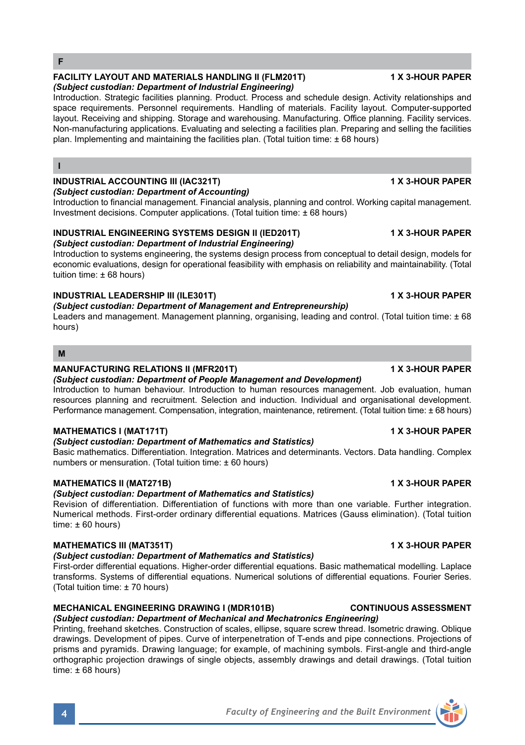**I**

### **FACILITY LAYOUT AND MATERIALS HANDLING II (FLM201T) 1 X 3-HOUR PAPER** *(Subject custodian: Department of Industrial Engineering)*

Introduction. Strategic facilities planning. Product. Process and schedule design. Activity relationships and space requirements. Personnel requirements. Handling of materials. Facility layout. Computer-supported layout. Receiving and shipping. Storage and warehousing. Manufacturing. Office planning. Facility services. Non-manufacturing applications. Evaluating and selecting a facilities plan. Preparing and selling the facilities plan. Implementing and maintaining the facilities plan. (Total tuition time: ± 68 hours)

# **INDUSTRIAL ACCOUNTING III (IAC321T) 1 X 3-HOUR PAPER**

*(Subject custodian: Department of Accounting)*

Introduction to financial management. Financial analysis, planning and control. Working capital management. Investment decisions. Computer applications. (Total tuition time: ± 68 hours)

#### **INDUSTRIAL ENGINEERING SYSTEMS DESIGN II (IED201T) 1 X 3-HOUR PAPER** *(Subject custodian: Department of Industrial Engineering)*

Introduction to systems engineering, the systems design process from conceptual to detail design, models for economic evaluations, design for operational feasibility with emphasis on reliability and maintainability. (Total tuition time: ± 68 hours)

## **INDUSTRIAL LEADERSHIP III (ILE301T) 1 X 3-HOUR PAPER**

*(Subject custodian: Department of Management and Entrepreneurship)*

Leaders and management. Management planning, organising, leading and control. (Total tuition time: ± 68 hours)

### **M**

## **MANUFACTURING RELATIONS II (MFR201T) 1 X 3-HOUR PAPER**

*(Subject custodian: Department of People Management and Development)* Introduction to human behaviour. Introduction to human resources management. Job evaluation, human

resources planning and recruitment. Selection and induction. Individual and organisational development. Performance management. Compensation, integration, maintenance, retirement. (Total tuition time: ± 68 hours)

## **MATHEMATICS I (MAT171T) 1 X 3-HOUR PAPER**

## *(Subject custodian: Department of Mathematics and Statistics)*

Basic mathematics. Differentiation. Integration. Matrices and determinants. Vectors. Data handling. Complex numbers or mensuration. (Total tuition time: ± 60 hours)

## **MATHEMATICS II (MAT271B) 1 X 3-HOUR PAPER**

## *(Subject custodian: Department of Mathematics and Statistics)*

Revision of differentiation. Differentiation of functions with more than one variable. Further integration. Numerical methods. First-order ordinary differential equations. Matrices (Gauss elimination). (Total tuition time:  $\pm 60$  hours)

## **MATHEMATICS III (MAT351T) 1 X 3-HOUR PAPER**

### *(Subject custodian: Department of Mathematics and Statistics)*

First-order differential equations. Higher-order differential equations. Basic mathematical modelling. Laplace transforms. Systems of differential equations. Numerical solutions of differential equations. Fourier Series. (Total tuition time: ± 70 hours)

# **MECHANICAL ENGINEERING DRAWING I (MDR101B) CONTINUOUS ASSESSMENT**

*(Subject custodian: Department of Mechanical and Mechatronics Engineering)* Printing, freehand sketches. Construction of scales, ellipse, square screw thread. Isometric drawing. Oblique drawings. Development of pipes. Curve of interpenetration of T-ends and pipe connections. Projections of prisms and pyramids. Drawing language; for example, of machining symbols. First-angle and third-angle orthographic projection drawings of single objects, assembly drawings and detail drawings. (Total tuition time:  $\pm$  68 hours)

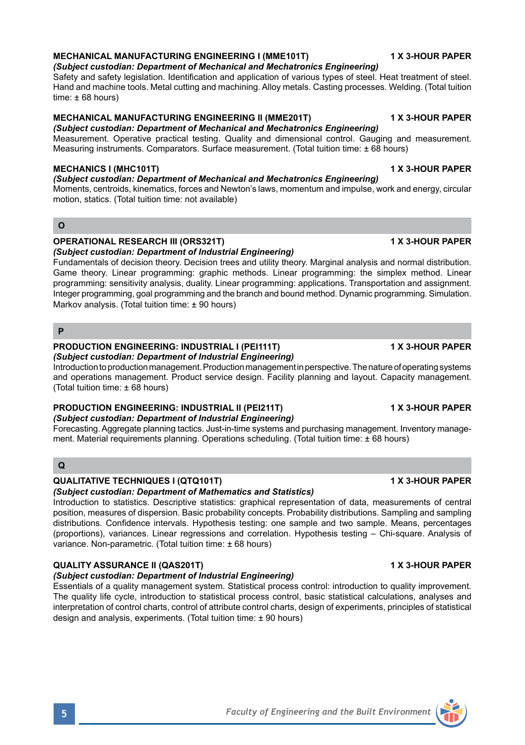### **MECHANICAL MANUFACTURING ENGINEERING I (MME101T) 1 X 3-HOUR PAPER**

*(Subject custodian: Department of Mechanical and Mechatronics Engineering)* Safety and safety legislation. Identification and application of various types of steel. Heat treatment of steel. Hand and machine tools. Metal cutting and machining. Alloy metals. Casting processes. Welding. (Total tuition  $time: ± 68 hours$ 

### **MECHANICAL MANUFACTURING ENGINEERING II (MME201T) 1 X 3-HOUR PAPER**

*(Subject custodian: Department of Mechanical and Mechatronics Engineering)* Measurement. Operative practical testing. Quality and dimensional control. Gauging and measurement. Measuring instruments. Comparators. Surface measurement. (Total tuition time: ± 68 hours)

#### **MECHANICS I (MHC101T) 1 X 3-HOUR PAPER**

#### *(Subject custodian: Department of Mechanical and Mechatronics Engineering)*

Moments, centroids, kinematics, forces and Newton's laws, momentum and impulse, work and energy, circular motion, statics. (Total tuition time: not available)

#### **O**

### **OPERATIONAL RESEARCH III (ORS321T) 1 X 3-HOUR PAPER**

*(Subject custodian: Department of Industrial Engineering)*

Fundamentals of decision theory. Decision trees and utility theory. Marginal analysis and normal distribution. Game theory. Linear programming: graphic methods. Linear programming: the simplex method. Linear programming: sensitivity analysis, duality. Linear programming: applications. Transportation and assignment. Integer programming, goal programming and the branch and bound method. Dynamic programming. Simulation. Markov analysis. (Total tuition time: ± 90 hours)

### **P**

# **PRODUCTION ENGINEERING: INDUSTRIAL I (PEI111T) 1 X 3-HOUR PAPER**

*(Subject custodian: Department of Industrial Engineering)*

Introduction to production management. Production management in perspective. The nature of operating systems and operations management. Product service design. Facility planning and layout. Capacity management. (Total tuition time: ± 68 hours)

#### **PRODUCTION ENGINEERING: INDUSTRIAL II (PEI211T) 1 X 3-HOUR PAPER** *(Subject custodian: Department of Industrial Engineering)*

Forecasting. Aggregate planning tactics. Just-in-time systems and purchasing management. Inventory management. Material requirements planning. Operations scheduling. (Total tuition time: ± 68 hours)

## **Q**

### **QUALITATIVE TECHNIQUES I (QTQ101T) 1 X 3-HOUR PAPER**

## *(Subject custodian: Department of Mathematics and Statistics)*

Introduction to statistics. Descriptive statistics: graphical representation of data, measurements of central position, measures of dispersion. Basic probability concepts. Probability distributions. Sampling and sampling distributions. Confidence intervals. Hypothesis testing: one sample and two sample. Means, percentages (proportions), variances. Linear regressions and correlation. Hypothesis testing – Chi-square. Analysis of variance. Non-parametric. (Total tuition time: ± 68 hours)

## **QUALITY ASSURANCE II (QAS201T) 1 X 3-HOUR PAPER**

*(Subject custodian: Department of Industrial Engineering)*

Essentials of a quality management system. Statistical process control: introduction to quality improvement. The quality life cycle, introduction to statistical process control, basic statistical calculations, analyses and interpretation of control charts, control of attribute control charts, design of experiments, principles of statistical design and analysis, experiments. (Total tuition time: ± 90 hours)